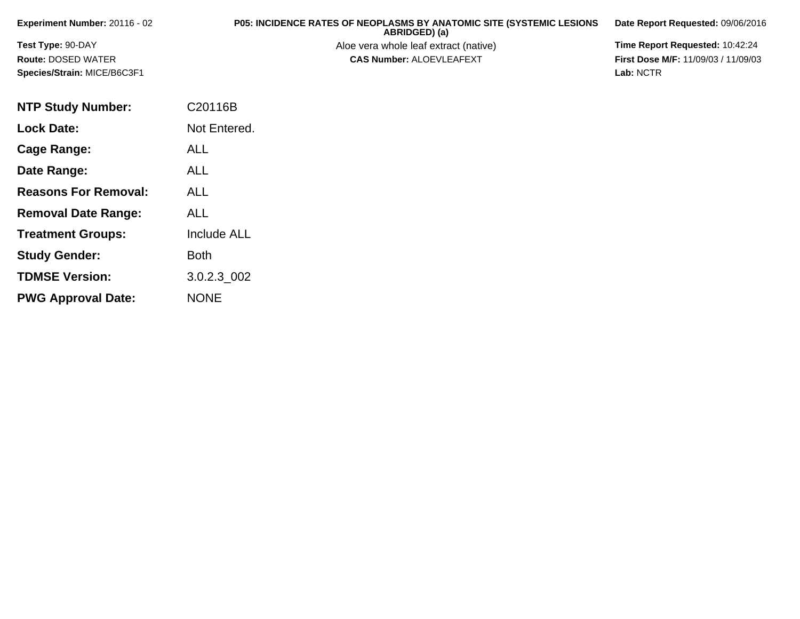| <b>Experiment Number: 20116 - 02</b> | <b>P05: INCIDENCE RATES OF NEOPLASMS BY ANATOMIC SITE (SYSTEMIC LESIONS</b><br>ABRIDGED) (a) | Date Report Requested: 09/06/2016          |
|--------------------------------------|----------------------------------------------------------------------------------------------|--------------------------------------------|
| <b>Test Type: 90-DAY</b>             | Aloe vera whole leaf extract (native)                                                        | <b>Time Report Requested: 10:42:24</b>     |
| <b>Route: DOSED WATER</b>            | <b>CAS Number: ALOEVLEAFEXT</b>                                                              | <b>First Dose M/F: 11/09/03 / 11/09/03</b> |
| <b>Species/Strain: MICE/B6C3F1</b>   |                                                                                              | Lab: NCTR                                  |

| <b>NTP Study Number:</b>    | C20116B            |
|-----------------------------|--------------------|
| <b>Lock Date:</b>           | Not Entered.       |
| Cage Range:                 | <b>ALL</b>         |
| Date Range:                 | <b>ALL</b>         |
| <b>Reasons For Removal:</b> | ALL                |
| <b>Removal Date Range:</b>  | ALL                |
| <b>Treatment Groups:</b>    | <b>Include ALL</b> |
| <b>Study Gender:</b>        | <b>Both</b>        |
| <b>TDMSE Version:</b>       | 3.0.2.3 002        |
| <b>PWG Approval Date:</b>   | <b>NONE</b>        |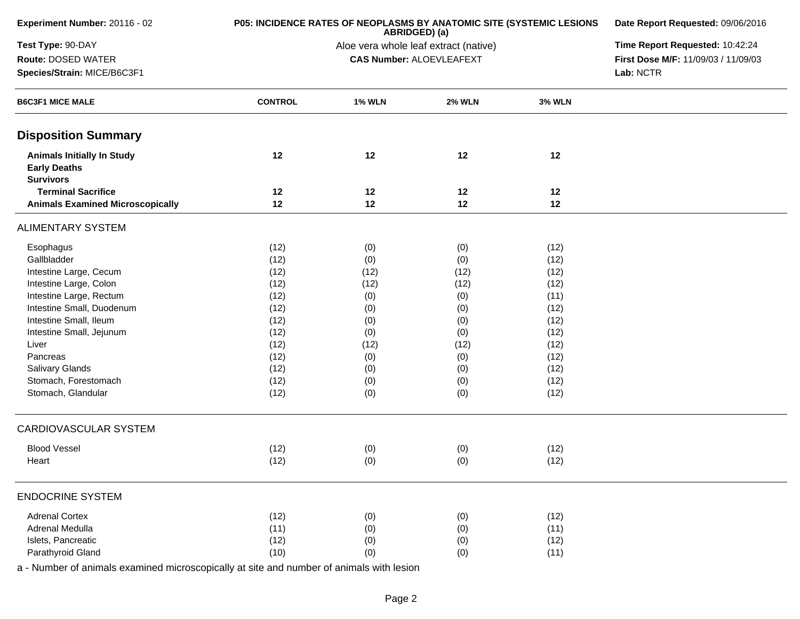|                |                                                                                            | Date Report Requested: 09/06/2016                                                |                                                                                                                                                                               |                                                                                    |
|----------------|--------------------------------------------------------------------------------------------|----------------------------------------------------------------------------------|-------------------------------------------------------------------------------------------------------------------------------------------------------------------------------|------------------------------------------------------------------------------------|
|                |                                                                                            |                                                                                  | Time Report Requested: 10:42:24                                                                                                                                               |                                                                                    |
|                |                                                                                            |                                                                                  |                                                                                                                                                                               | First Dose M/F: 11/09/03 / 11/09/03                                                |
|                |                                                                                            |                                                                                  |                                                                                                                                                                               | Lab: NCTR                                                                          |
| <b>CONTROL</b> | <b>1% WLN</b>                                                                              | <b>2% WLN</b>                                                                    | <b>3% WLN</b>                                                                                                                                                                 |                                                                                    |
|                |                                                                                            |                                                                                  |                                                                                                                                                                               |                                                                                    |
| 12             | 12                                                                                         | 12                                                                               | 12                                                                                                                                                                            |                                                                                    |
|                |                                                                                            |                                                                                  |                                                                                                                                                                               |                                                                                    |
| 12             | 12                                                                                         | 12                                                                               | 12                                                                                                                                                                            |                                                                                    |
|                |                                                                                            |                                                                                  |                                                                                                                                                                               |                                                                                    |
| (12)           |                                                                                            |                                                                                  | (12)                                                                                                                                                                          |                                                                                    |
| (12)           | (0)                                                                                        | (0)                                                                              | (12)                                                                                                                                                                          |                                                                                    |
| (12)           | (12)                                                                                       | (12)                                                                             | (12)                                                                                                                                                                          |                                                                                    |
| (12)           | (12)                                                                                       | (12)                                                                             | (12)                                                                                                                                                                          |                                                                                    |
| (12)           | (0)                                                                                        | (0)                                                                              | (11)                                                                                                                                                                          |                                                                                    |
| (12)           | (0)                                                                                        | (0)                                                                              | (12)                                                                                                                                                                          |                                                                                    |
| (12)           | (0)                                                                                        | (0)                                                                              | (12)                                                                                                                                                                          |                                                                                    |
|                | (0)                                                                                        | (0)                                                                              | (12)                                                                                                                                                                          |                                                                                    |
|                |                                                                                            |                                                                                  |                                                                                                                                                                               |                                                                                    |
|                |                                                                                            |                                                                                  |                                                                                                                                                                               |                                                                                    |
|                |                                                                                            |                                                                                  |                                                                                                                                                                               |                                                                                    |
|                |                                                                                            |                                                                                  |                                                                                                                                                                               |                                                                                    |
|                |                                                                                            |                                                                                  |                                                                                                                                                                               |                                                                                    |
|                |                                                                                            |                                                                                  |                                                                                                                                                                               |                                                                                    |
|                |                                                                                            |                                                                                  |                                                                                                                                                                               |                                                                                    |
| (12)           | (0)                                                                                        | (0)                                                                              | (12)                                                                                                                                                                          |                                                                                    |
|                |                                                                                            |                                                                                  |                                                                                                                                                                               |                                                                                    |
|                |                                                                                            |                                                                                  |                                                                                                                                                                               |                                                                                    |
|                |                                                                                            |                                                                                  |                                                                                                                                                                               |                                                                                    |
|                |                                                                                            |                                                                                  |                                                                                                                                                                               |                                                                                    |
|                |                                                                                            |                                                                                  |                                                                                                                                                                               |                                                                                    |
|                | 12<br>(12)<br>(12)<br>(12)<br>(12)<br>(12)<br>(12)<br>(12)<br>(12)<br>(11)<br>(12)<br>(10) | 12<br>(0)<br>(12)<br>(0)<br>(0)<br>(0)<br>(0)<br>(0)<br>(0)<br>(0)<br>(0)<br>(0) | ABRIDGED) (a)<br>Aloe vera whole leaf extract (native)<br><b>CAS Number: ALOEVLEAFEXT</b><br>12<br>(0)<br>(12)<br>(0)<br>(0)<br>(0)<br>(0)<br>(0)<br>(0)<br>(0)<br>(0)<br>(0) | 12<br>(12)<br>(12)<br>(12)<br>(12)<br>(12)<br>(12)<br>(12)<br>(11)<br>(12)<br>(11) |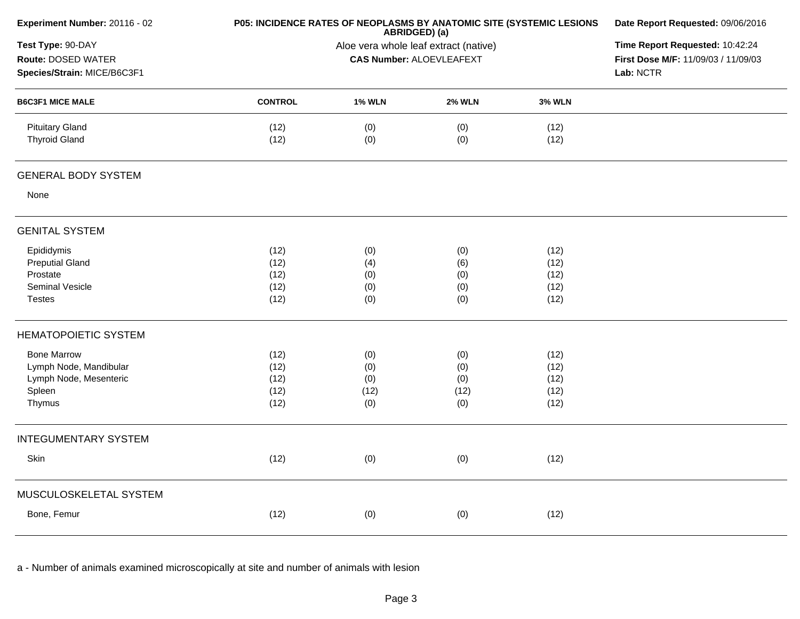| Experiment Number: 20116 - 02                                                              |                                      |                                                                                     | P05: INCIDENCE RATES OF NEOPLASMS BY ANATOMIC SITE (SYSTEMIC LESIONS<br>ABRIDGED) (a) | Date Report Requested: 09/06/2016    |  |
|--------------------------------------------------------------------------------------------|--------------------------------------|-------------------------------------------------------------------------------------|---------------------------------------------------------------------------------------|--------------------------------------|--|
| Test Type: 90-DAY<br>Route: DOSED WATER<br>Species/Strain: MICE/B6C3F1                     |                                      | Time Report Requested: 10:42:24<br>First Dose M/F: 11/09/03 / 11/09/03<br>Lab: NCTR |                                                                                       |                                      |  |
| <b>B6C3F1 MICE MALE</b>                                                                    | <b>CONTROL</b>                       | <b>1% WLN</b>                                                                       | <b>2% WLN</b>                                                                         | <b>3% WLN</b>                        |  |
| <b>Pituitary Gland</b><br><b>Thyroid Gland</b>                                             | (12)<br>(12)                         | (0)<br>(0)                                                                          | (0)<br>(0)                                                                            | (12)<br>(12)                         |  |
| <b>GENERAL BODY SYSTEM</b>                                                                 |                                      |                                                                                     |                                                                                       |                                      |  |
| None                                                                                       |                                      |                                                                                     |                                                                                       |                                      |  |
| <b>GENITAL SYSTEM</b>                                                                      |                                      |                                                                                     |                                                                                       |                                      |  |
| Epididymis<br><b>Preputial Gland</b><br>Prostate<br>Seminal Vesicle<br><b>Testes</b>       | (12)<br>(12)<br>(12)<br>(12)<br>(12) | (0)<br>(4)<br>(0)<br>(0)<br>(0)                                                     | (0)<br>(6)<br>(0)<br>(0)<br>(0)                                                       | (12)<br>(12)<br>(12)<br>(12)<br>(12) |  |
| <b>HEMATOPOIETIC SYSTEM</b>                                                                |                                      |                                                                                     |                                                                                       |                                      |  |
| <b>Bone Marrow</b><br>Lymph Node, Mandibular<br>Lymph Node, Mesenteric<br>Spleen<br>Thymus | (12)<br>(12)<br>(12)<br>(12)<br>(12) | (0)<br>(0)<br>(0)<br>(12)<br>(0)                                                    | (0)<br>(0)<br>(0)<br>(12)<br>(0)                                                      | (12)<br>(12)<br>(12)<br>(12)<br>(12) |  |
| <b>INTEGUMENTARY SYSTEM</b>                                                                |                                      |                                                                                     |                                                                                       |                                      |  |
| Skin                                                                                       | (12)                                 | (0)                                                                                 | (0)                                                                                   | (12)                                 |  |
| MUSCULOSKELETAL SYSTEM                                                                     |                                      |                                                                                     |                                                                                       |                                      |  |
| Bone, Femur                                                                                | (12)                                 | (0)                                                                                 | (0)                                                                                   | (12)                                 |  |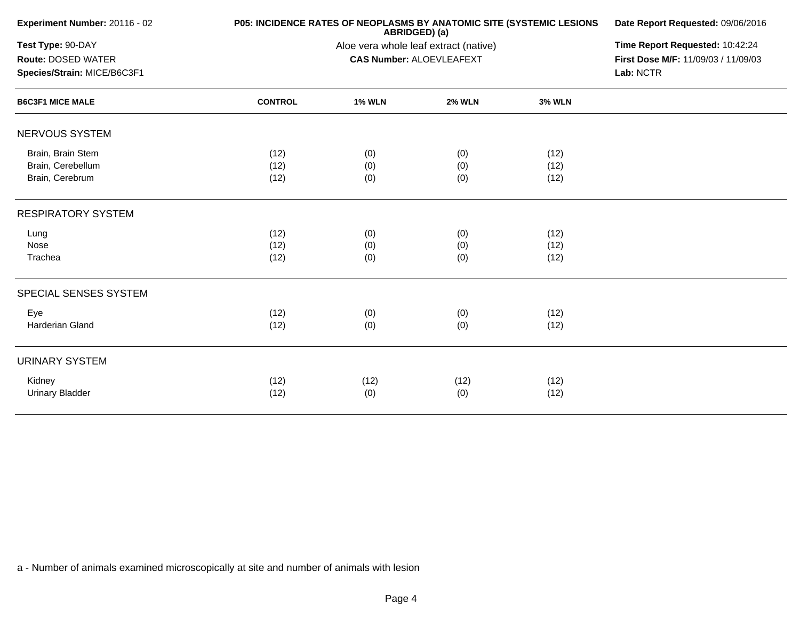| Experiment Number: 20116 - 02                                          |                      |                                                                          | <b>P05: INCIDENCE RATES OF NEOPLASMS BY ANATOMIC SITE (SYSTEMIC LESIONS</b><br>ABRIDGED) (a) | Date Report Requested: 09/06/2016 |  |  |  |
|------------------------------------------------------------------------|----------------------|--------------------------------------------------------------------------|----------------------------------------------------------------------------------------------|-----------------------------------|--|--|--|
| Test Type: 90-DAY<br>Route: DOSED WATER<br>Species/Strain: MICE/B6C3F1 |                      | Aloe vera whole leaf extract (native)<br><b>CAS Number: ALOEVLEAFEXT</b> |                                                                                              |                                   |  |  |  |
| <b>B6C3F1 MICE MALE</b>                                                | <b>CONTROL</b>       | <b>1% WLN</b>                                                            | <b>2% WLN</b>                                                                                | <b>3% WLN</b>                     |  |  |  |
| NERVOUS SYSTEM                                                         |                      |                                                                          |                                                                                              |                                   |  |  |  |
| Brain, Brain Stem<br>Brain, Cerebellum<br>Brain, Cerebrum              | (12)<br>(12)<br>(12) | (0)<br>(0)<br>(0)                                                        | (0)<br>(0)<br>(0)                                                                            | (12)<br>(12)<br>(12)              |  |  |  |
| <b>RESPIRATORY SYSTEM</b>                                              |                      |                                                                          |                                                                                              |                                   |  |  |  |
| Lung<br>Nose<br>Trachea                                                | (12)<br>(12)<br>(12) | (0)<br>(0)<br>(0)                                                        | (0)<br>(0)<br>(0)                                                                            | (12)<br>(12)<br>(12)              |  |  |  |
| SPECIAL SENSES SYSTEM                                                  |                      |                                                                          |                                                                                              |                                   |  |  |  |
| Eye<br>Harderian Gland                                                 | (12)<br>(12)         | (0)<br>(0)                                                               | (0)<br>(0)                                                                                   | (12)<br>(12)                      |  |  |  |
| <b>URINARY SYSTEM</b>                                                  |                      |                                                                          |                                                                                              |                                   |  |  |  |
| Kidney<br><b>Urinary Bladder</b>                                       | (12)<br>(12)         | (12)<br>(0)                                                              | (12)<br>(0)                                                                                  | (12)<br>(12)                      |  |  |  |
|                                                                        |                      |                                                                          |                                                                                              |                                   |  |  |  |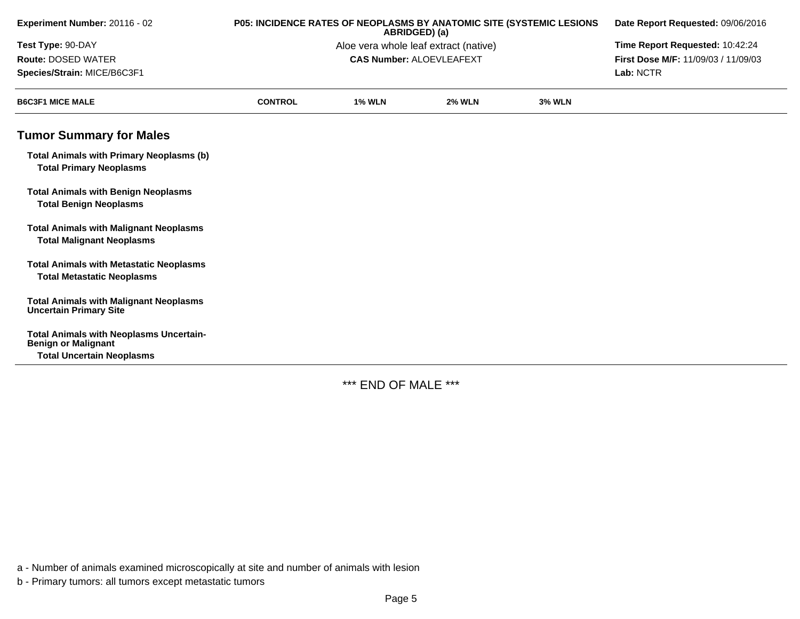| Experiment Number: 20116 - 02                                                                                    | P05: INCIDENCE RATES OF NEOPLASMS BY ANATOMIC SITE (SYSTEMIC LESIONS<br>ABRIDGED) (a) |               |                                 |               | Date Report Requested: 09/06/2016   |  |
|------------------------------------------------------------------------------------------------------------------|---------------------------------------------------------------------------------------|---------------|---------------------------------|---------------|-------------------------------------|--|
| Test Type: 90-DAY<br>Aloe vera whole leaf extract (native)                                                       |                                                                                       |               |                                 |               | Time Report Requested: 10:42:24     |  |
| <b>Route: DOSED WATER</b>                                                                                        |                                                                                       |               | <b>CAS Number: ALOEVLEAFEXT</b> |               | First Dose M/F: 11/09/03 / 11/09/03 |  |
| Species/Strain: MICE/B6C3F1                                                                                      |                                                                                       |               |                                 | Lab: NCTR     |                                     |  |
| <b>B6C3F1 MICE MALE</b>                                                                                          | <b>CONTROL</b>                                                                        | <b>1% WLN</b> | <b>2% WLN</b>                   | <b>3% WLN</b> |                                     |  |
| <b>Tumor Summary for Males</b>                                                                                   |                                                                                       |               |                                 |               |                                     |  |
| <b>Total Animals with Primary Neoplasms (b)</b><br><b>Total Primary Neoplasms</b>                                |                                                                                       |               |                                 |               |                                     |  |
| <b>Total Animals with Benign Neoplasms</b><br><b>Total Benign Neoplasms</b>                                      |                                                                                       |               |                                 |               |                                     |  |
| <b>Total Animals with Malignant Neoplasms</b><br><b>Total Malignant Neoplasms</b>                                |                                                                                       |               |                                 |               |                                     |  |
| <b>Total Animals with Metastatic Neoplasms</b><br><b>Total Metastatic Neoplasms</b>                              |                                                                                       |               |                                 |               |                                     |  |
| <b>Total Animals with Malignant Neoplasms</b><br><b>Uncertain Primary Site</b>                                   |                                                                                       |               |                                 |               |                                     |  |
| <b>Total Animals with Neoplasms Uncertain-</b><br><b>Benign or Malignant</b><br><b>Total Uncertain Neoplasms</b> |                                                                                       |               |                                 |               |                                     |  |

\*\*\* END OF MALE \*\*\*

a - Number of animals examined microscopically at site and number of animals with lesion

b - Primary tumors: all tumors except metastatic tumors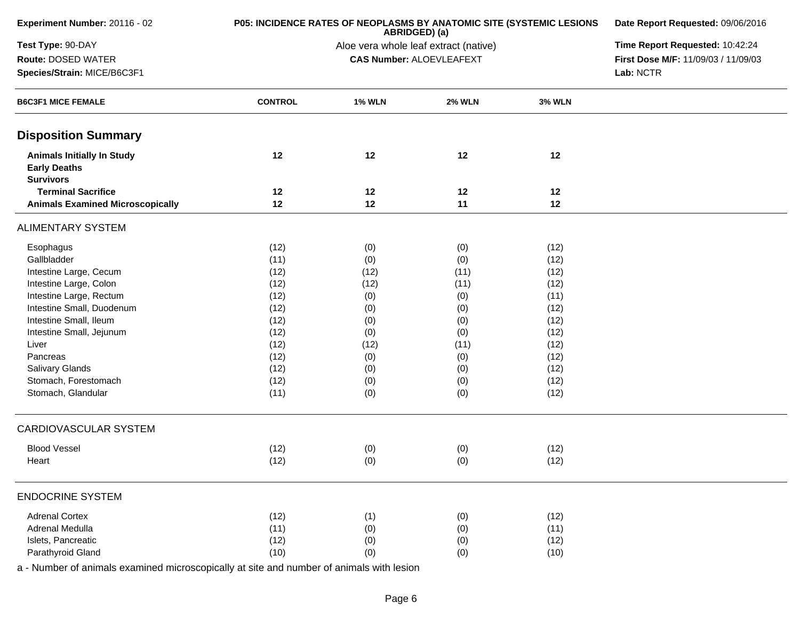| Experiment Number: 20116 - 02                                                | <b>P05: INCIDENCE RATES OF NEOPLASMS BY ANATOMIC SITE (SYSTEMIC LESIONS</b> | ABRIDGED) (a)                         | Date Report Requested: 09/06/2016                                      |                                 |  |  |  |
|------------------------------------------------------------------------------|-----------------------------------------------------------------------------|---------------------------------------|------------------------------------------------------------------------|---------------------------------|--|--|--|
| Test Type: 90-DAY                                                            |                                                                             | Aloe vera whole leaf extract (native) |                                                                        | Time Report Requested: 10:42:24 |  |  |  |
| Route: DOSED WATER                                                           |                                                                             |                                       | <b>CAS Number: ALOEVLEAFEXT</b><br>First Dose M/F: 11/09/03 / 11/09/03 |                                 |  |  |  |
| Species/Strain: MICE/B6C3F1                                                  |                                                                             |                                       | Lab: NCTR                                                              |                                 |  |  |  |
| <b>B6C3F1 MICE FEMALE</b>                                                    | <b>CONTROL</b>                                                              | <b>1% WLN</b>                         | <b>2% WLN</b>                                                          | <b>3% WLN</b>                   |  |  |  |
| <b>Disposition Summary</b>                                                   |                                                                             |                                       |                                                                        |                                 |  |  |  |
| <b>Animals Initially In Study</b><br><b>Early Deaths</b><br><b>Survivors</b> | 12                                                                          | 12                                    | 12                                                                     | 12                              |  |  |  |
| <b>Terminal Sacrifice</b>                                                    | 12                                                                          | 12                                    | 12                                                                     | 12                              |  |  |  |
| <b>Animals Examined Microscopically</b>                                      | 12                                                                          | 12                                    | 11                                                                     | 12                              |  |  |  |
| <b>ALIMENTARY SYSTEM</b>                                                     |                                                                             |                                       |                                                                        |                                 |  |  |  |
| Esophagus                                                                    | (12)                                                                        | (0)                                   | (0)                                                                    | (12)                            |  |  |  |
| Gallbladder                                                                  | (11)                                                                        | (0)                                   | (0)                                                                    | (12)                            |  |  |  |
| Intestine Large, Cecum                                                       | (12)                                                                        | (12)                                  | (11)                                                                   | (12)                            |  |  |  |
| Intestine Large, Colon                                                       | (12)                                                                        | (12)                                  | (11)                                                                   | (12)                            |  |  |  |
| Intestine Large, Rectum                                                      | (12)                                                                        | (0)                                   | (0)                                                                    | (11)                            |  |  |  |
| Intestine Small, Duodenum                                                    | (12)                                                                        | (0)                                   | (0)                                                                    | (12)                            |  |  |  |
| Intestine Small, Ileum                                                       | (12)                                                                        | (0)                                   | (0)                                                                    | (12)                            |  |  |  |
| Intestine Small, Jejunum                                                     | (12)                                                                        | (0)                                   | (0)                                                                    | (12)                            |  |  |  |
| Liver                                                                        | (12)                                                                        | (12)                                  | (11)                                                                   | (12)                            |  |  |  |
| Pancreas                                                                     | (12)                                                                        | (0)                                   | (0)                                                                    | (12)                            |  |  |  |
| Salivary Glands                                                              | (12)                                                                        | (0)                                   | (0)                                                                    | (12)                            |  |  |  |
| Stomach, Forestomach                                                         | (12)                                                                        | (0)                                   | (0)                                                                    | (12)                            |  |  |  |
| Stomach, Glandular                                                           | (11)                                                                        | (0)                                   | (0)                                                                    | (12)                            |  |  |  |
| CARDIOVASCULAR SYSTEM                                                        |                                                                             |                                       |                                                                        |                                 |  |  |  |
| <b>Blood Vessel</b>                                                          | (12)                                                                        | (0)                                   | (0)                                                                    | (12)                            |  |  |  |
| Heart                                                                        | (12)                                                                        | (0)                                   | (0)                                                                    | (12)                            |  |  |  |
| <b>ENDOCRINE SYSTEM</b>                                                      |                                                                             |                                       |                                                                        |                                 |  |  |  |
| <b>Adrenal Cortex</b>                                                        | (12)                                                                        | (1)                                   | (0)                                                                    | (12)                            |  |  |  |
| Adrenal Medulla                                                              | (11)                                                                        | (0)                                   | (0)                                                                    | (11)                            |  |  |  |
| Islets, Pancreatic                                                           | (12)                                                                        | (0)                                   | (0)                                                                    | (12)                            |  |  |  |
| Parathyroid Gland                                                            | (10)                                                                        | (0)                                   | (0)                                                                    | (10)                            |  |  |  |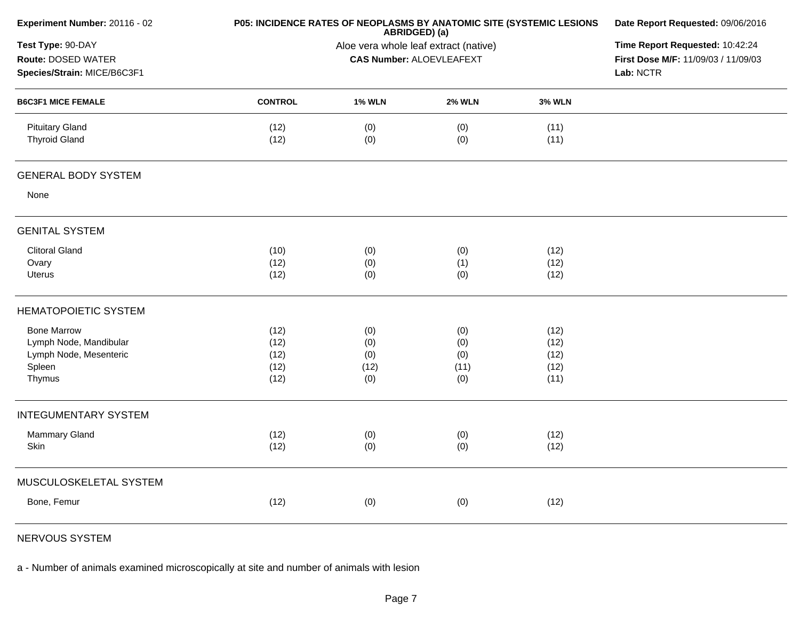| Experiment Number: 20116 - 02                                          |                |                                                                                     | P05: INCIDENCE RATES OF NEOPLASMS BY ANATOMIC SITE (SYSTEMIC LESIONS<br>ABRIDGED) (a) | Date Report Requested: 09/06/2016 |  |
|------------------------------------------------------------------------|----------------|-------------------------------------------------------------------------------------|---------------------------------------------------------------------------------------|-----------------------------------|--|
| Test Type: 90-DAY<br>Route: DOSED WATER<br>Species/Strain: MICE/B6C3F1 |                | Time Report Requested: 10:42:24<br>First Dose M/F: 11/09/03 / 11/09/03<br>Lab: NCTR |                                                                                       |                                   |  |
| <b>B6C3F1 MICE FEMALE</b>                                              | <b>CONTROL</b> | <b>1% WLN</b>                                                                       | <b>2% WLN</b>                                                                         | <b>3% WLN</b>                     |  |
| <b>Pituitary Gland</b><br><b>Thyroid Gland</b>                         | (12)<br>(12)   | (0)<br>(0)                                                                          | (0)<br>(0)                                                                            | (11)<br>(11)                      |  |
| <b>GENERAL BODY SYSTEM</b>                                             |                |                                                                                     |                                                                                       |                                   |  |
| None                                                                   |                |                                                                                     |                                                                                       |                                   |  |
| <b>GENITAL SYSTEM</b>                                                  |                |                                                                                     |                                                                                       |                                   |  |
| <b>Clitoral Gland</b>                                                  | (10)           | (0)                                                                                 | (0)                                                                                   | (12)                              |  |
| Ovary                                                                  | (12)           | (0)                                                                                 | (1)                                                                                   | (12)                              |  |
| Uterus                                                                 | (12)           | (0)                                                                                 | (0)                                                                                   | (12)                              |  |
| <b>HEMATOPOIETIC SYSTEM</b>                                            |                |                                                                                     |                                                                                       |                                   |  |
| <b>Bone Marrow</b>                                                     | (12)           | (0)                                                                                 | (0)                                                                                   | (12)                              |  |
| Lymph Node, Mandibular                                                 | (12)           | (0)                                                                                 | (0)                                                                                   | (12)                              |  |
| Lymph Node, Mesenteric                                                 | (12)           | (0)                                                                                 | (0)                                                                                   | (12)                              |  |
| Spleen<br>Thymus                                                       | (12)<br>(12)   | (12)<br>(0)                                                                         | (11)<br>(0)                                                                           | (12)<br>(11)                      |  |
|                                                                        |                |                                                                                     |                                                                                       |                                   |  |
| <b>INTEGUMENTARY SYSTEM</b>                                            |                |                                                                                     |                                                                                       |                                   |  |
| Mammary Gland                                                          | (12)           | (0)                                                                                 | (0)                                                                                   | (12)                              |  |
| Skin                                                                   | (12)           | (0)                                                                                 | (0)                                                                                   | (12)                              |  |
| MUSCULOSKELETAL SYSTEM                                                 |                |                                                                                     |                                                                                       |                                   |  |
| Bone, Femur                                                            | (12)           | (0)                                                                                 | (0)                                                                                   | (12)                              |  |
|                                                                        |                |                                                                                     |                                                                                       |                                   |  |

NERVOUS SYSTEM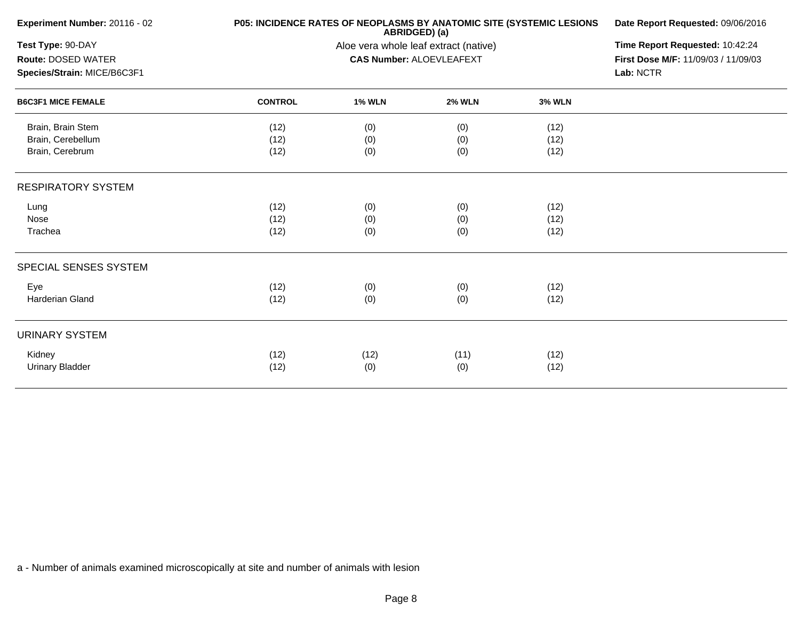| Experiment Number: 20116 - 02 | P05: INCIDENCE RATES OF NEOPLASMS BY ANATOMIC SITE (SYSTEMIC LESIONS | Date Report Requested: 09/06/2016     |                                 |               |                                     |  |
|-------------------------------|----------------------------------------------------------------------|---------------------------------------|---------------------------------|---------------|-------------------------------------|--|
| Test Type: 90-DAY             |                                                                      | Aloe vera whole leaf extract (native) |                                 |               |                                     |  |
| Route: DOSED WATER            |                                                                      |                                       | <b>CAS Number: ALOEVLEAFEXT</b> |               | First Dose M/F: 11/09/03 / 11/09/03 |  |
| Species/Strain: MICE/B6C3F1   |                                                                      |                                       |                                 |               | Lab: NCTR                           |  |
| <b>B6C3F1 MICE FEMALE</b>     | <b>CONTROL</b>                                                       | <b>1% WLN</b>                         | <b>2% WLN</b>                   | <b>3% WLN</b> |                                     |  |
| Brain, Brain Stem             | (12)                                                                 | (0)                                   | (0)                             | (12)          |                                     |  |
| Brain, Cerebellum             | (12)                                                                 | (0)                                   | (0)                             | (12)          |                                     |  |
| Brain, Cerebrum               | (12)                                                                 | (0)                                   | (0)                             | (12)          |                                     |  |
| <b>RESPIRATORY SYSTEM</b>     |                                                                      |                                       |                                 |               |                                     |  |
| Lung                          | (12)                                                                 | (0)                                   | (0)                             | (12)          |                                     |  |
| Nose                          | (12)                                                                 | (0)                                   | (0)                             | (12)          |                                     |  |
| Trachea                       | (12)                                                                 | (0)                                   | (0)                             | (12)          |                                     |  |
| SPECIAL SENSES SYSTEM         |                                                                      |                                       |                                 |               |                                     |  |
| Eye                           | (12)                                                                 | (0)                                   | (0)                             | (12)          |                                     |  |
| Harderian Gland               | (12)                                                                 | (0)                                   | (0)                             | (12)          |                                     |  |
| <b>URINARY SYSTEM</b>         |                                                                      |                                       |                                 |               |                                     |  |
| Kidney                        | (12)                                                                 | (12)                                  | (11)                            | (12)          |                                     |  |
| <b>Urinary Bladder</b>        | (12)                                                                 | (0)                                   | (0)                             | (12)          |                                     |  |
|                               |                                                                      |                                       |                                 |               |                                     |  |